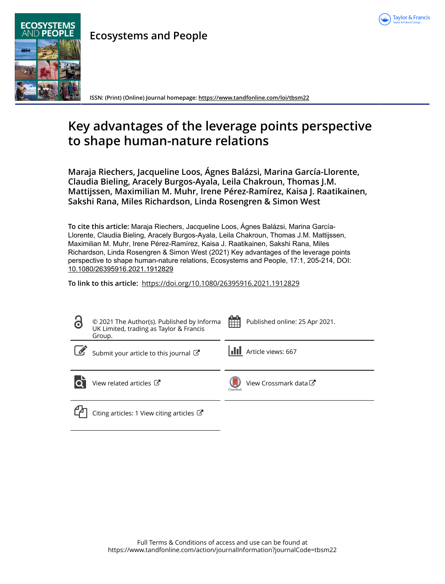

**Ecosystems and People**

**ISSN: (Print) (Online) Journal homepage:<https://www.tandfonline.com/loi/tbsm22>**

# **Key advantages of the leverage points perspective to shape human-nature relations**

**Maraja Riechers, Jacqueline Loos, Ágnes Balázsi, Marina García-Llorente, Claudia Bieling, Aracely Burgos-Ayala, Leila Chakroun, Thomas J.M. Mattijssen, Maximilian M. Muhr, Irene Pérez-Ramírez, Kaisa J. Raatikainen, Sakshi Rana, Miles Richardson, Linda Rosengren & Simon West**

**To cite this article:** Maraja Riechers, Jacqueline Loos, Ágnes Balázsi, Marina García-Llorente, Claudia Bieling, Aracely Burgos-Ayala, Leila Chakroun, Thomas J.M. Mattijssen, Maximilian M. Muhr, Irene Pérez-Ramírez, Kaisa J. Raatikainen, Sakshi Rana, Miles Richardson, Linda Rosengren & Simon West (2021) Key advantages of the leverage points perspective to shape human-nature relations, Ecosystems and People, 17:1, 205-214, DOI: [10.1080/26395916.2021.1912829](https://www.tandfonline.com/action/showCitFormats?doi=10.1080/26395916.2021.1912829)

**To link to this article:** <https://doi.org/10.1080/26395916.2021.1912829>

| $\ddot{\mathbf{d}}$ | © 2021 The Author(s). Published by Informa<br>UK Limited, trading as Taylor & Francis<br>Group. | 鱛<br>Published online: 25 Apr 2021. |
|---------------------|-------------------------------------------------------------------------------------------------|-------------------------------------|
|                     | Submit your article to this journal C                                                           | Article views: 667                  |
|                     | View related articles C                                                                         | View Crossmark data C<br>CrossMark  |
|                     | Citing articles: 1 View citing articles $\mathbb{Z}$                                            |                                     |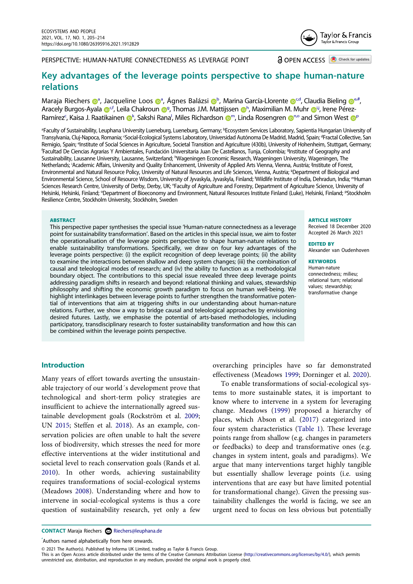PERSPECTIVE: HUMAN-NATURE CONNECTEDNESS AS LEVERAGE POINT

**a** OPEN ACCESS **C** Check for updates

Taylor & Francis Taylor & Francis Group

# **Key advantages of the leverage points perspective to shape human-nature relations**

M[a](#page-1-0)raja R[i](http://orcid.org/0000-0002-3815-8538)[e](#page-1-2)chers <sup>na</sup>, Jacqueline Loos n<sup>a</sup>, Ágnes Balázsi n**[b](#page-1-0)**, Marina García-Llorente n<sup>cd</sup>, Claudia Bieling n<sup>e#</sup>, Ar[a](http://orcid.org/0000-0002-1799-5791)[c](#page-1-1)ely Bur[g](#page-1-4)os-Ayala @<sup>cf</sup>, Leila Chakrou[n](http://orcid.org/0000-0002-0822-4012) @<sup>g</sup>, T[h](#page-1-5)omas J.M. Mattijssen @h, Maximilian M. Muh[r](http://orcid.org/0000-0003-1019-9490) @ij, Irene PérezRamírez<sup>c</sup>, Kaisa J. Raatikai[n](#page-1-9)en **o**[k](#page-1-7), Sakshi Rana<sup>[l](#page-1-8)</sup>, Miles Richardson @<sup>[m](#page-1-8)</sup>, Linda Rosengren @<sup>n,o</sup> and Simon Wes[t](http://orcid.org/0000-0002-9738-0593) @P

<span id="page-1-7"></span><span id="page-1-6"></span><span id="page-1-5"></span><span id="page-1-4"></span><span id="page-1-2"></span><span id="page-1-1"></span><span id="page-1-0"></span><sup>a</sup>Faculty of Sustainability, Leuphana University Lueneburg, Lueneburg, Germany; <sup>b</sup>Ecosystem Services Laboratory, Sapientia Hungarian University of Transylvania, Cluj-Napoca, Romania; <sup>c</sup>Social-Ecological Systems Laboratory, Universidad Autónoma De Madrid, Madrid, Spain; <sup>d</sup>Fractal Collective, San Remigio, Spain; <sup>e</sup>lnstitute of Social Sciences in Agriculture, Societal Transition and Agriculture (430b), University of Hohenheim, Stuttgart, Germany;<br>'Eacultad De Ciencias Agrarias Y Ambientales Eundación Universitaria Facultad De Ciencias Agrarias Y Ambientales, Fundación Universitaria Juan De Castellanos, Tunja, Colombia; <sup>g</sup>Institute of Geography and Sustainability, Lausanne University, Lausanne, Switzerland; <sup>h</sup>Wageningen Economic Research, Wageningen University, Wageningen, The Netherlands; <sup>i</sup>Academic Affairs, University and Quality Enhancement, University of Applied Arts Vienna, Vienna, Austria; <sup>j</sup>Institute of Forest, Environmental and Natural Resource Policy, University of Natural Resources and Life Sciences, Vienna, Austria; <sup>k</sup>Department of Biological and Environmental Science, School of Resource Wisdom, University of Jyvaskyla, Jyvaskyla, Finland; l Wildlife Institute of India, Dehradun, India; mHuman Sciences Research Centre, University of Derby, Derby, UK; "Faculty of Agriculture and Forestry, Department of Agriculture Science, University of Helsinki, Helsinki, Finland; <sup>o</sup>Department of Bioeconomy and Environment, Natural Resources Institute Finland (Luke), Helsinki, Finland; <sup>p</sup>Stockholm Resilience Centre, Stockholm University, Stockholm, Sweden

#### <span id="page-1-10"></span><span id="page-1-9"></span><span id="page-1-8"></span>**ABSTRACT**

This perspective paper synthesises the special issue 'Human-nature connectedness as a leverage point for sustainability transformation'. Based on the articles in this special issue, we aim to foster the operationalisation of the leverage points perspective to shape human-nature relations to enable sustainability transformations. Specifically, we draw on four key advantages of the leverage points perspective: (i) the explicit recognition of deep leverage points; (ii) the ability to examine the interactions between shallow and deep system changes; (iii) the combination of causal and teleological modes of research; and (iv) the ability to function as a methodological boundary object. The contributions to this special issue revealed three deep leverage points addressing paradigm shifts in research and beyond: relational thinking and values, stewardship philosophy and shifting the economic growth paradigm to focus on human well-being. We highlight interlinkages between leverage points to further strengthen the transformative potential of interventions that aim at triggering shifts in our understanding about human-nature relations. Further, we show a way to bridge causal and teleological approaches by envisioning desired futures. Lastly, we emphasise the potential of arts-based methodologies, including participatory, transdisciplinary research to foster sustainability transformation and how this can be combined within the leverage points perspective.

#### **ARTICLE HISTORY**

Received 18 December 2020 Accepted 26 March 2021

**EDITED BY** Alexander van Oudenhoven

#### **KEYWORDS**

Human-nature connectedness; milieu; relational turn; relational values; stewardship; transformative change

#### **Introduction**

Many years of effort towards averting the unsustainable trajectory of our world´s development prove that technological and short-term policy strategies are insufficient to achieve the internationally agreed sustainable development goals (Rockström et al. [2009](#page-9-0); UN [2015](#page-9-1); Steffen et al. [2018\)](#page-9-2). As an example, conservation policies are often unable to halt the severe loss of biodiversity, which stresses the need for more effective interventions at the wider institutional and societal level to reach conservation goals (Rands et al. [2010](#page-9-3)). In other words, achieving sustainability requires transformations of social-ecological systems (Meadows [2008\)](#page-9-4). Understanding where and how to intervene in social-ecological systems is thus a core question of sustainability research, yet only a few

To enable transformations of social-ecological systems to more sustainable states, it is important to know where to intervene in a system for leveraging change. Meadows ([1999\)](#page-8-0) proposed a hierarchy of places, which Abson et al. ([2017\)](#page-7-0) categorized into four system characteristics [\(Table 1\)](#page-2-0). These leverage points range from shallow (e.g. changes in parameters or feedbacks) to deep and transformative ones (e.g. changes in system intent, goals and paradigms). We argue that many interventions target highly tangible but essentially shallow leverage points (i.e. using interventions that are easy but have limited potential for transformational change). Given the pressing sustainability challenges the world is facing, we see an urgent need to focus on less obvious but potentially

<span id="page-1-3"></span>**CONTACT** Maraja Riechers <sup>■</sup> Riechers@leuphana.de

Authors named alphabetically from here onwards.

© 2021 The Author(s). Published by Informa UK Limited, trading as Taylor & Francis Group.

overarching principles have so far demonstrated effectiveness (Meadows [1999;](#page-8-0) Dorninger et al. [2020\)](#page-8-1).

This is an Open Access article distributed under the terms of the Creative Commons Attribution License (http://creativecommons.org/licenses/by/4.0/), which permits unrestricted use, distribution, and reproduction in any medium, provided the original work is properly cited.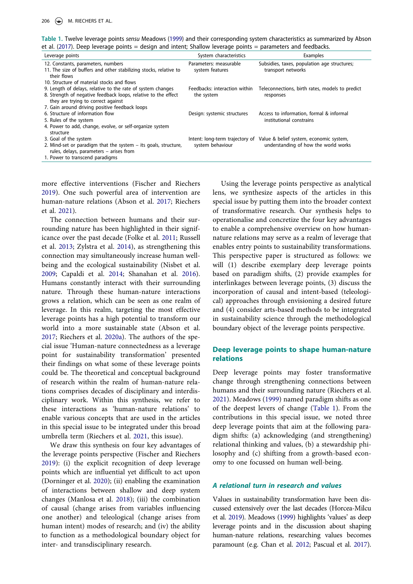<span id="page-2-0"></span>**Table 1.** Twelve leverage points *sensu* Meadows [\(1999](#page-8-0)) and their corresponding system characteristics as summarized by Abson et al. [\(2017\)](#page-7-0). Deep leverage points = design and intent; Shallow leverage points = parameters and feedbacks.

| Leverage points                                                                                                                                                     | System characteristics                      | Examples                                                             |
|---------------------------------------------------------------------------------------------------------------------------------------------------------------------|---------------------------------------------|----------------------------------------------------------------------|
| 12. Constants, parameters, numbers<br>11. The size of buffers and other stabilizing stocks, relative to<br>their flows                                              | Parameters: measurable<br>system features   | Subsidies, taxes, population age structures;<br>transport networks   |
| 10. Structure of material stocks and flows                                                                                                                          |                                             |                                                                      |
| 9. Length of delays, relative to the rate of system changes<br>8. Strength of negative feedback loops, relative to the effect<br>they are trying to correct against | Feedbacks: interaction within<br>the system | Teleconnections, birth rates, models to predict<br>responses         |
| 7. Gain around driving positive feedback loops                                                                                                                      |                                             |                                                                      |
| 6. Structure of information flow<br>5. Rules of the system                                                                                                          | Design: systemic structures                 | Access to information, formal & informal<br>institutional constrains |
| 4. Power to add, change, evolve, or self-organize system<br>structure                                                                                               |                                             |                                                                      |
| 3. Goal of the system                                                                                                                                               | Intent: long-term trajectory of             | Value & belief system, economic system,                              |
| 2. Mind-set or paradigm that the system $-$ its goals, structure,<br>rules, delays, parameters - arises from                                                        | system behaviour                            | understanding of how the world works                                 |
| 1. Power to transcend paradigms                                                                                                                                     |                                             |                                                                      |

more effective interventions (Fischer and Riechers [2019](#page-8-2)). One such powerful area of intervention are human-nature relations (Abson et al. [2017](#page-7-0); Riechers et al. [2021](#page-9-5)).

The connection between humans and their surrounding nature has been highlighted in their significance over the past decade (Folke et al. [2011;](#page-8-3) Russell et al. [2013;](#page-9-6) Zylstra et al. [2014\)](#page-10-0), as strengthening this connection may simultaneously increase human wellbeing and the ecological sustainability (Nisbet et al. [2009](#page-9-7); Capaldi et al. [2014;](#page-7-1) Shanahan et al. [2016\)](#page-9-8). Humans constantly interact with their surrounding nature. Through these human-nature interactions grows a relation, which can be seen as one realm of leverage. In this realm, targeting the most effective leverage points has a high potential to transform our world into a more sustainable state (Abson et al. [2017](#page-7-0); Riechers et al. [2020a\)](#page-9-9). The authors of the special issue 'Human-nature connectedness as a leverage point for sustainability transformation' presented their findings on what some of these leverage points could be. The theoretical and conceptual background of research within the realm of human-nature relations comprises decades of disciplinary and interdisciplinary work. Within this synthesis, we refer to these interactions as 'human-nature relations' to enable various concepts that are used in the articles in this special issue to be integrated under this broad umbrella term (Riechers et al. [2021](#page-9-5), this issue).

We draw this synthesis on four key advantages of the leverage points perspective (Fischer and Riechers [2019](#page-8-2)): (i) the explicit recognition of deep leverage points which are influential yet difficult to act upon (Dorninger et al. [2020\)](#page-8-1); (ii) enabling the examination of interactions between shallow and deep system changes (Manlosa et al. [2018](#page-8-4)); (iii) the combination of causal (change arises from variables influencing one another) and teleological (change arises from human intent) modes of research; and (iv) the ability to function as a methodological boundary object for inter- and transdisciplinary research.

Using the leverage points perspective as analytical lens, we synthesize aspects of the articles in this special issue by putting them into the broader context of transformative research. Our synthesis helps to operationalise and concretize the four key advantages to enable a comprehensive overview on how humannature relations may serve as a realm of leverage that enables entry points to sustainability transformations. This perspective paper is structured as follows: we will (1) describe exemplary deep leverage points based on paradigm shifts, (2) provide examples for interlinkages between leverage points, (3) discuss the incorporation of causal and intent-based (teleological) approaches through envisioning a desired future and (4) consider arts-based methods to be integrated in sustainability science through the methodological boundary object of the leverage points perspective.

#### **Deep leverage points to shape human-nature relations**

Deep leverage points may foster transformative change through strengthening connections between humans and their surrounding nature (Riechers et al. [2021\)](#page-9-5). Meadows [\(1999](#page-8-0)) named paradigm shifts as one of the deepest levers of change [\(Table 1](#page-2-0)). From the contributions in this special issue, we noted three deep leverage points that aim at the following paradigm shifts: (a) acknowledging (and strengthening) relational thinking and values, (b) a stewardship philosophy and (c) shifting from a growth-based economy to one focussed on human well-being.

#### *A relational turn in research and values*

Values in sustainability transformation have been discussed extensively over the last decades (Horcea-Milcu et al. [2019\)](#page-8-5). Meadows [\(1999\)](#page-8-0) highlights 'values' as deep leverage points and in the discussion about shaping human-nature relations, researching values becomes paramount (e.g. Chan et al. [2012;](#page-7-2) Pascual et al. [2017](#page-9-10)).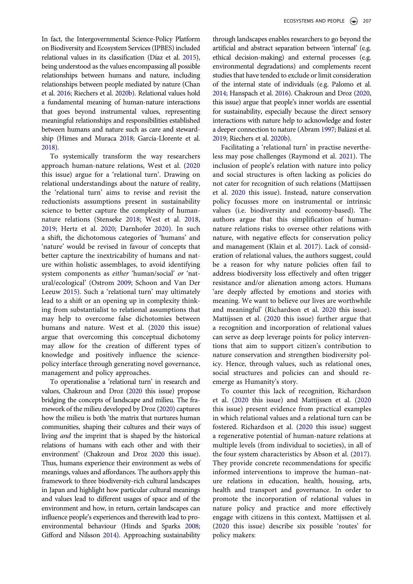In fact, the Intergovernmental Science-Policy Platform on Biodiversity and Ecosystem Services (IPBES) included relational values in its classification (Díaz et al. [2015\)](#page-8-6), being understood as the values encompassing all possible relationships between humans and nature, including relationships between people mediated by nature (Chan et al. [2016](#page-7-3); Riechers et al. [2020b](#page-9-11)). Relational values hold a fundamental meaning of human-nature interactions that goes beyond instrumental values, representing meaningful relationships and responsibilities established between humans and nature such as care and stewardship (Himes and Muraca [2018;](#page-8-7) García-Llorente et al. [2018](#page-8-8)).

To systemically transform the way researchers approach human-nature relations, West et al. [\(2020](#page-10-1)  this issue) argue for a 'relational turn'. Drawing on relational understandings about the nature of reality, the 'relational turn' aims to revise and revisit the reductionists assumptions present in sustainability science to better capture the complexity of humannature relations (Stenseke [2018;](#page-9-12) West et al. [2018](#page-9-13), [2019](#page-10-2); Hertz et al. [2020](#page-8-9); Darnhofer [2020](#page-8-10)). In such a shift, the dichotomous categories of 'humans' and 'nature' would be revised in favour of concepts that better capture the inextricability of humans and nature within holistic assemblages, to avoid identifying system components as *either* 'human/social' *or* 'natural/ecological' (Ostrom [2009;](#page-9-14) Schoon and Van Der Leeuw [2015](#page-9-15)). Such a 'relational turn' may ultimately lead to a shift or an opening up in complexity thinking from substantialist to relational assumptions that may help to overcome false dichotomies between humans and nature. West et al. [\(2020](#page-10-1) this issue) argue that overcoming this conceptual dichotomy may allow for the creation of different types of knowledge and positively influence the sciencepolicy interface through generating novel governance, management and policy approaches.

To operationalise a 'relational turn' in research and values, Chakroun and Droz [\(2020](#page-7-4) this issue) propose bridging the concepts of landscape and milieu. The framework of the milieu developed by Droz ([2020\)](#page-8-11) captures how the milieu is both 'the matrix that nurtures human communities, shaping their cultures and their ways of living *and* the imprint that is shaped by the historical relations of humans with each other and with their environment' (Chakroun and Droz [2020](#page-7-4) this issue). Thus, humans experience their environment as webs of meanings, values and affordances. The authors apply this framework to three biodiversity-rich cultural landscapes in Japan and highlight how particular cultural meanings and values lead to different usages of space and of the environment and how, in return, certain landscapes can influence people's experiences and therewith lead to proenvironmental behaviour (Hinds and Sparks [2008](#page-8-12); Gifford and Nilsson [2014\)](#page-8-13). Approaching sustainability

through landscapes enables researchers to go beyond the artificial and abstract separation between 'internal' (e.g. ethical decision-making) and external processes (e.g. environmental degradations) and complements recent studies that have tended to exclude or limit consideration of the internal state of individuals (e.g. Palomo et al. [2014;](#page-9-16) Hanspach et al. [2016\)](#page-8-14). Chakroun and Droz ([2020,](#page-7-4) this issue) argue that people's inner worlds are essential for sustainability, especially because the direct sensory interactions with nature help to acknowledge and foster a deeper connection to nature (Abram [1997](#page-7-5); Balázsi et al. [2019;](#page-7-6) Riechers et al. [2020b\)](#page-9-11).

Facilitating a 'relational turn' in practise nevertheless may pose challenges (Raymond et al. [2021](#page-9-17)). The inclusion of people's relation with nature into policy and social structures is often lacking as policies do not cater for recognition of such relations (Mattijssen et al. [2020](#page-8-15) this issue). Instead, nature conservation policy focusses more on instrumental or intrinsic values (i.e. biodiversity and economy-based). The authors argue that this simplification of humannature relations risks to oversee other relations with nature, with negative effects for conservation policy and management (Klain et al. [2017\)](#page-8-16). Lack of consideration of relational values, the authors suggest, could be a reason for why nature policies often fail to address biodiversity loss effectively and often trigger resistance and/or alienation among actors. Humans 'are deeply affected by emotions and stories with meaning. We want to believe our lives are worthwhile and meaningful' (Richardson et al. [2020](#page-9-18) this issue). Mattijssen et al. [\(2020](#page-8-15) this issue) further argue that a recognition and incorporation of relational values can serve as deep leverage points for policy interventions that aim to support citizen's contribution to nature conservation and strengthen biodiversity policy. Hence, through values, such as relational ones, social structures and policies can and should reemerge as Humanity's story.

To counter this lack of recognition, Richardson et al. [\(2020](#page-9-18) this issue) and Mattijssen et al. [\(2020](#page-8-15) this issue) present evidence from practical examples in which relational values and a relational turn can be fostered. Richardson et al. ([2020](#page-9-18) this issue) suggest a regenerative potential of human-nature relations at multiple levels (from individual to societies), in all of the four system characteristics by Abson et al. [\(2017](#page-7-0)). They provide concrete recommendations for specific informed interventions to improve the human–nature relations in education, health, housing, arts, health and transport and governance. In order to promote the incorporation of relational values in nature policy and practice and more effectively engage with citizens in this context, Mattijssen et al. [\(2020](#page-8-15) this issue) describe six possible 'routes' for policy makers: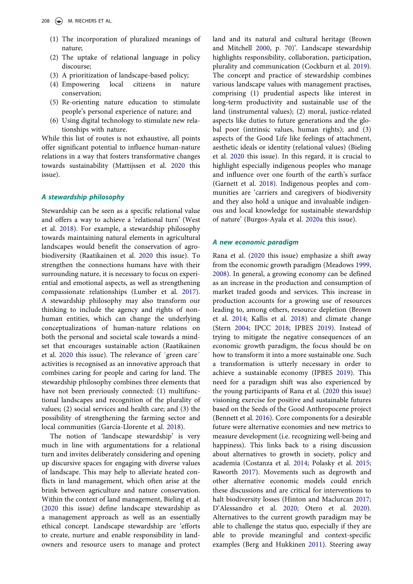- (1) The incorporation of pluralized meanings of nature;
- (2) The uptake of relational language in policy discourse;
- (3) A prioritization of landscape-based policy;
- (4) Empowering local citizens in nature conservation;
- (5) Re-orienting nature education to stimulate people's personal experience of nature; and
- (6) Using digital technology to stimulate new relationships with nature.

While this list of routes is not exhaustive, all points offer significant potential to influence human-nature relations in a way that fosters transformative changes towards sustainability (Mattijssen et al. [2020](#page-8-15) this issue).

### *A stewardship philosophy*

Stewardship can be seen as a specific relational value and offers a way to achieve a 'relational turn' (West et al. [2018](#page-9-13)). For example, a stewardship philosophy towards maintaining natural elements in agricultural landscapes would benefit the conservation of agrobiodiversity (Raatikainen et al. [2020](#page-9-19) this issue). To strengthen the connections humans have with their surrounding nature, it is necessary to focus on experiential and emotional aspects, as well as strengthening compassionate relationships (Lumber et al. [2017\)](#page-8-17). A stewardship philosophy may also transform our thinking to include the agency and rights of nonhuman entities, which can change the underlying conceptualizations of human-nature relations on both the personal and societal scale towards a mindset that encourages sustainable action (Raatikainen et al. [2020](#page-9-19) this issue). The relevance of ´green care´ activities is recognised as an innovative approach that combines caring for people and caring for land. The stewardship philosophy combines three elements that have not been previously connected: (1) multifunctional landscapes and recognition of the plurality of values; (2) social services and health care; and (3) the possibility of strengthening the farming sector and local communities (García-Llorente et al. [2018\)](#page-8-8).

The notion of 'landscape stewardship' is very much in line with argumentations for a relational turn and invites deliberately considering and opening up discursive spaces for engaging with diverse values of landscape. This may help to alleviate heated conflicts in land management, which often arise at the brink between agriculture and nature conservation. Within the context of land management, Bieling et al. ([2020](#page-7-7) this issue) define landscape stewardship as a management approach as well as an essentially ethical concept. Landscape stewardship are 'efforts to create, nurture and enable responsibility in landowners and resource users to manage and protect land and its natural and cultural heritage (Brown and Mitchell [2000](#page-7-8), p. 70)'. Landscape stewardship highlights responsibility, collaboration, participation, plurality and communication (Cockburn et al. [2019](#page-8-18)). The concept and practice of stewardship combines various landscape values with management practises, comprising (1) prudential aspects like interest in long-term productivity and sustainable use of the land (instrumental values); (2) moral, justice-related aspects like duties to future generations and the global poor (intrinsic values, human rights); and (3) aspects of the Good Life like feelings of attachment, aesthetic ideals or identity (relational values) (Bieling et al. [2020](#page-7-7) this issue). In this regard, it is crucial to highlight especially indigenous peoples who manage and influence over one fourth of the earth's surface (Garnett et al. [2018\)](#page-8-19). Indigenous peoples and communities are 'carriers and caregivers of biodiversity and they also hold a unique and invaluable indigenous and local knowledge for sustainable stewardship of nature' (Burgos-Ayala et al. [2020a](#page-7-9) this issue).

#### *A new economic paradigm*

Rana et al. ([2020](#page-9-20) this issue) emphasize a shift away from the economic growth paradigm (Meadows [1999,](#page-8-0) [2008\)](#page-9-4). In general, a growing economy can be defined as an increase in the production and consumption of market traded goods and services. This increase in production accounts for a growing use of resources leading to, among others, resource depletion (Brown et al. [2014;](#page-7-10) Kallis et al. [2018](#page-8-20)) and climate change (Stern [2004;](#page-9-21) IPCC [2018;](#page-8-21) IPBES [2019\)](#page-8-22). Instead of trying to mitigate the negative consequences of an economic growth paradigm, the focus should be on how to transform it into a more sustainable one. Such a transformation is utterly necessary in order to achieve a sustainable economy (IPBES [2019](#page-8-22)). This need for a paradigm shift was also experienced by the young participants of Rana et al. [\(2020](#page-9-20) this issue) visioning exercise for positive and sustainable futures based on the Seeds of the Good Anthropocene project (Bennett et al. [2016\)](#page-7-11). Core components for a desirable future were alternative economies and new metrics to measure development (i.e. recognizing well-being and happiness). This links back to a rising discussion about alternatives to growth in society, policy and academia (Costanza et al. [2014](#page-8-23); Polasky et al. [2015;](#page-9-22) Raworth [2017\)](#page-9-23). Movements such as degrowth and other alternative economic models could enrich these discussions and are critical for interventions to halt biodiversity losses (Hinton and Maclurcan [2017;](#page-8-24) D'Alessandro et al. [2020](#page-8-25); Otero et al. [2020](#page-9-24)). Alternatives to the current growth paradigm may be able to challenge the status quo, especially if they are able to provide meaningful and context-specific examples (Berg and Hukkinen [2011\)](#page-7-12). Steering away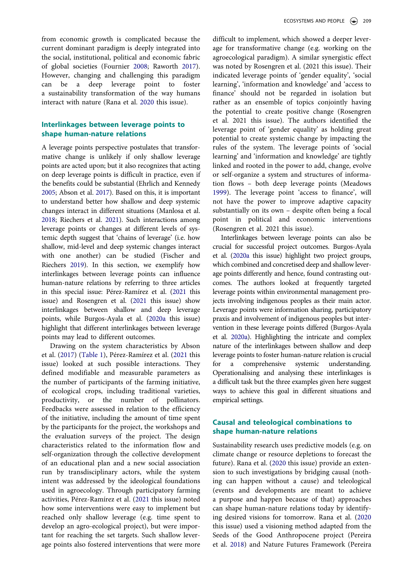from economic growth is complicated because the current dominant paradigm is deeply integrated into the social, institutional, political and economic fabric of global societies (Fournier [2008;](#page-8-26) Raworth [2017\)](#page-9-23). However, changing and challenging this paradigm can be a deep leverage point to foster a sustainability transformation of the way humans interact with nature (Rana et al. [2020](#page-9-20) this issue).

# **Interlinkages between leverage points to shape human-nature relations**

A leverage points perspective postulates that transformative change is unlikely if only shallow leverage points are acted upon; but it also recognizes that acting on deep leverage points is difficult in practice, even if the benefits could be substantial (Ehrlich and Kennedy [2005;](#page-8-27) Abson et al. [2017\)](#page-7-0). Based on this, it is important to understand better how shallow and deep systemic changes interact in different situations (Manlosa et al. [2018;](#page-8-4) Riechers et al. [2021\)](#page-9-5). Such interactions among leverage points or changes at different levels of systemic depth suggest that 'chains of leverage' (i.e. how shallow, mid-level and deep systemic changes interact with one another) can be studied (Fischer and Riechers [2019\)](#page-8-2). In this section, we exemplify how interlinkages between leverage points can influence human-nature relations by referring to three articles in this special issue: Pérez-Ramírez et al. ([2021](#page-9-25) this issue) and Rosengren et al. ([2021](#page-9-26) this issue) show interlinkages between shallow and deep leverage points, while Burgos-Ayala et al. ([2020a](#page-7-9) this issue) highlight that different interlinkages between leverage points may lead to different outcomes.

Drawing on the system characteristics by Abson et al. ([2017](#page-7-0)) [\(Table 1\)](#page-2-0), Pérez-Ramírez et al. [\(2021](#page-9-25) this issue) looked at such possible interactions. They defined modifiable and measurable parameters as the number of participants of the farming initiative, of ecological crops, including traditional varieties, productivity, or the number of pollinators. Feedbacks were assessed in relation to the efficiency of the initiative, including the amount of time spent by the participants for the project, the workshops and the evaluation surveys of the project. The design characteristics related to the information flow and self-organization through the collective development of an educational plan and a new social association run by transdisciplinary actors, while the system intent was addressed by the ideological foundations used in agroecology. Through participatory farming activities, Pérez-Ramírez et al. [\(2021](#page-9-25) this issue) noted how some interventions were easy to implement but reached only shallow leverage (e.g. time spent to develop an agro-ecological project), but were important for reaching the set targets. Such shallow leverage points also fostered interventions that were more

difficult to implement, which showed a deeper leverage for transformative change (e.g. working on the agroecological paradigm). A similar synergistic effect was noted by Rosengren et al. (2021 this issue). Their indicated leverage points of 'gender equality', 'social learning', 'information and knowledge' and 'access to finance' should not be regarded in isolation but rather as an ensemble of topics conjointly having the potential to create positive change (Rosengren et al. 2021 this issue). The authors identified the leverage point of 'gender equality' as holding great potential to create systemic change by impacting the rules of the system. The leverage points of 'social learning' and 'information and knowledge' are tightly linked and rooted in the power to add, change, evolve or self-organize a system and structures of information flows – both deep leverage points (Meadows [1999\)](#page-8-0). The leverage point 'access to finance', will not have the power to improve adaptive capacity substantially on its own – despite often being a focal point in political and economic interventions (Rosengren et al. 2021 this issue).

Interlinkages between leverage points can also be crucial for successful project outcomes. Burgos-Ayala et al. [\(2020a](#page-7-9) this issue) highlight two project groups, which combined and concretised deep and shallow leverage points differently and hence, found contrasting outcomes. The authors looked at frequently targeted leverage points within environmental management projects involving indigenous peoples as their main actor. Leverage points were information sharing, participatory praxis and involvement of indigenous peoples but intervention in these leverage points differed (Burgos-Ayala et al. [2020a\)](#page-7-9). Highlighting the intricate and complex nature of the interlinkages between shallow and deep leverage points to foster human-nature relation is crucial for a comprehensive systemic understanding. Operationalising and analysing these interlinkages is a difficult task but the three examples given here suggest ways to achieve this goal in different situations and empirical settings.

### **Causal and teleological combinations to shape human-nature relations**

Sustainability research uses predictive models (e.g. on climate change or resource depletions to forecast the future). Rana et al. [\(2020](#page-9-20) this issue) provide an extension to such investigations by bridging causal (nothing can happen without a cause) and teleological (events and developments are meant to achieve a purpose and happen because of that) approaches can shape human-nature relations today by identifying desired visions for tomorrow. Rana et al. [\(2020](#page-9-20) this issue) used a visioning method adapted from the Seeds of the Good Anthropocene project (Pereira et al. [2018\)](#page-9-27) and Nature Futures Framework (Pereira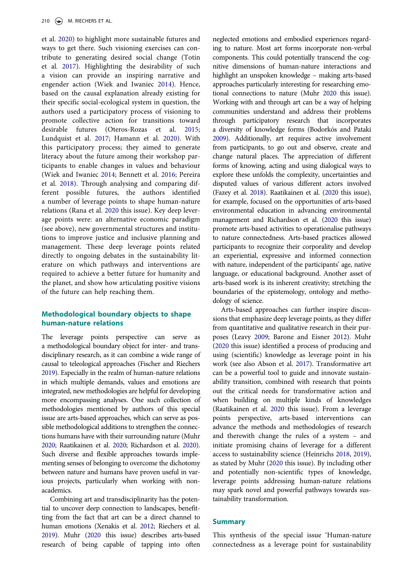et al. [2020](#page-9-28)) to highlight more sustainable futures and ways to get there. Such visioning exercises can contribute to generating desired social change (Totin et al. [2017\)](#page-9-29). Highlighting the desirability of such a vision can provide an inspiring narrative and engender action (Wiek and Iwaniec [2014\)](#page-10-3). Hence, based on the causal explanation already existing for their specific social-ecological system in question, the authors used a participatory process of visioning to promote collective action for transitions toward desirable futures (Oteros-Rozas et al. [2015](#page-9-30); Lundquist et al. [2017;](#page-8-28) Hamann et al. [2020](#page-8-29)). With this participatory process; they aimed to generate literacy about the future among their workshop participants to enable changes in values and behaviour (Wiek and Iwaniec [2014;](#page-10-3) Bennett et al. [2016;](#page-7-11) Pereira et al. [2018](#page-9-27)). Through analysing and comparing different possible futures, the authors identified a number of leverage points to shape human-nature relations (Rana et al. [2020](#page-9-20) this issue). Key deep leverage points were: an alternative economic paradigm (see above), new governmental structures and institutions to improve justice and inclusive planning and management. These deep leverage points related directly to ongoing debates in the sustainability literature on which pathways and interventions are required to achieve a better future for humanity and the planet, and show how articulating positive visions of the future can help reaching them.

# **Methodological boundary objects to shape human-nature relations**

The leverage points perspective can serve as a methodological boundary object for inter- and transdisciplinary research, as it can combine a wide range of causal to teleological approaches (Fischer and Riechers [2019](#page-8-2)). Especially in the realm of human-nature relations in which multiple demands, values and emotions are integrated, new methodologies are helpful for developing more encompassing analyses. One such collection of methodologies mentioned by authors of this special issue are arts-based approaches, which can serve as possible methodological additions to strengthen the connections humans have with their surrounding nature (Muhr [2020](#page-9-31); Raatikainen et al. [2020;](#page-9-19) Richardson et al. [2020\)](#page-9-18). Such diverse and flexible approaches towards implementing senses of belonging to overcome the dichotomy between nature and humans have proven useful in various projects, particularly when working with nonacademics.

Combining art and transdisciplinarity has the potential to uncover deep connection to landscapes, benefitting from the fact that art can be a direct channel to human emotions (Xenakis et al. [2012](#page-10-4); Riechers et al. [2019](#page-9-32)). Muhr [\(2020](#page-9-31) this issue) describes arts-based research of being capable of tapping into often

neglected emotions and embodied experiences regarding to nature. Most art forms incorporate non-verbal components. This could potentially transcend the cognitive dimensions of human-nature interactions and highlight an unspoken knowledge – making arts-based approaches particularly interesting for researching emotional connections to nature (Muhr [2020](#page-9-31) this issue). Working with and through art can be a way of helping communities understand and address their problems through participatory research that incorporates a diversity of knowledge forms (Bodorkós and Pataki [2009\)](#page-7-13). Additionally, art requires active involvement from participants, to go out and observe, create and change natural places. The appreciation of different forms of knowing, acting and using dialogical ways to explore these unfolds the complexity, uncertainties and disputed values of various different actors involved (Fazey et al. [2018\)](#page-8-30). Raatikainen et al. [\(2020](#page-9-19) this issue), for example, focused on the opportunities of arts-based environmental education in advancing environmental management and Richardson et al. [\(2020](#page-9-18) this issue) promote arts-based activities to operationalise pathways to nature connectedness. Arts-based practices allowed participants to recognize their corporality and develop an experiential, expressive and informed connection with nature, independent of the participants' age, native language, or educational background. Another asset of arts-based work is its inherent creativity; stretching the boundaries of the epistemology, ontology and methodology of science.

Arts-based approaches can further inspire discussions that emphasize deep leverage points, as they differ from quantitative and qualitative research in their purposes (Leavy [2009](#page-8-31); Barone and Eisner [2012](#page-7-14)). Muhr [\(2020](#page-9-31) this issue) identified a process of producing and using (scientific) knowledge as leverage point in his work (see also Abson et al. [2017](#page-7-0)). Transformative art can be a powerful tool to guide and innovate sustainability transition, combined with research that points out the critical needs for transformative action and when building on multiple kinds of knowledges (Raatikainen et al. [2020](#page-9-19) this issue). From a leverage points perspective, arts-based interventions can advance the methods and methodologies of research and therewith change the rules of a system – and initiate promising chains of leverage for a different access to sustainability science (Heinrichs [2018](#page-8-32), [2019](#page-8-33)), as stated by Muhr [\(2020](#page-9-31) this issue). By including other and potentially non-scientific types of knowledge, leverage points addressing human-nature relations may spark novel and powerful pathways towards sustainability transformation.

#### **Summary**

This synthesis of the special issue 'Human-nature connectedness as a leverage point for sustainability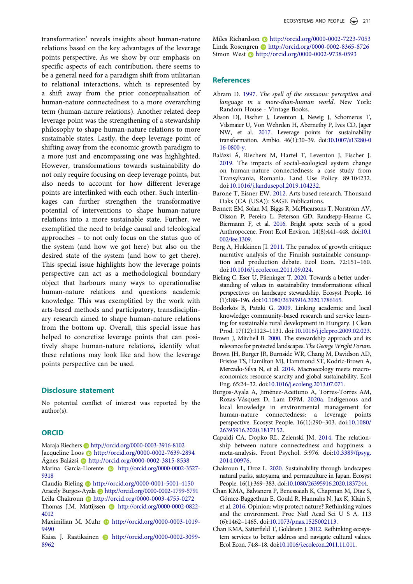transformation' reveals insights about human-nature relations based on the key advantages of the leverage points perspective. As we show by our emphasis on specific aspects of each contribution, there seems to be a general need for a paradigm shift from utilitarian to relational interactions, which is represented by a shift away from the prior conceptualisation of human-nature connectedness to a more overarching term (human-nature relations). Another related deep leverage point was the strengthening of a stewardship philosophy to shape human-nature relations to more sustainable states. Lastly, the deep leverage point of shifting away from the economic growth paradigm to a more just and encompassing one was highlighted. However, transformations towards sustainability do not only require focusing on deep leverage points, but also needs to account for how different leverage points are interlinked with each other. Such interlinkages can further strengthen the transformative potential of interventions to shape human-nature relations into a more sustainable state. Further, we exemplified the need to bridge causal and teleological approaches – to not only focus on the status quo of the system (and how we got here) but also on the desired state of the system (and how to get there). This special issue highlights how the leverage points perspective can act as a methodological boundary object that harbours many ways to operationalise human-nature relations and questions academic knowledge. This was exemplified by the work with arts-based methods and participatory, transdisciplinary research aimed to shape human-nature relations from the bottom up. Overall, this special issue has helped to concretize leverage points that can positively shape human-nature relations, identify what these relations may look like and how the leverage points perspective can be used.

#### **Disclosure statement**

No potential conflict of interest was reported by the author(s).

#### **ORCID**

Maraja Riechers http://orcid.org/0000-0003-3916-8102 Jacqueline Loos @ http://orcid.org/0000-0002-7639-2894 Ágnes Balázsi **b**http://orcid.org/0000-0002-3815-8538 Marina García-Llorente http://orcid.org/0000-0002-3527-9318

Claudia Bieling http://orcid.org/0000-0001-5001-4150 Aracely Burgos-Ayala http://orcid.org/0000-0002-1799-5791 Leila Chakroun Dhttp://orcid.org/0000-0003-4755-0272 Thomas J.M. Mattijssen **http://orcid.org/0000-0002-0822-**4012

Maximilian M. Muhr http://orcid.org/0000-0003-1019-9490

Kaisa J. Raatikainen **b** http://orcid.org/0000-0002-3099-8962

Miles Richardson Dhttp://orcid.org/0000-0002-7223-7053 Linda Rosengren **b** http://orcid.org/0000-0002-8365-8726 Simon West **http://orcid.org/0000-0002-9738-0593** 

#### **References**

- <span id="page-7-5"></span>Abram D. 1997. *The spell of the sensuous: perception and language in a more-than-human world*. New York: Random House - Vintage Books.
- <span id="page-7-0"></span>Abson DJ, Fischer J, Leventon J, Newig J, Schomerus T, Vilsmaier U, Von Wehrden H, Abernethy P, Ives CD, Jager NW, et al. 2017. Leverage points for sustainability transformation. Ambio. 46(1):30–39. doi:[10.1007/s13280-0](https://doi.org/10.1007/s13280-016-0800-y)  [16-0800-y.](https://doi.org/10.1007/s13280-016-0800-y)
- <span id="page-7-6"></span>Balázsi Á, Riechers M, Hartel T, Leventon J, Fischer J. 2019. The impacts of social-ecological system change on human-nature connectedness: a case study from Transylvania, Romania. Land Use Policy. 89:104232. doi:[10.1016/j.landusepol.2019.104232.](https://doi.org/10.1016/j.landusepol.2019.104232)
- <span id="page-7-14"></span>Barone T, Eisner EW. 2012. Arts based research. Thousand Oaks (CA (USA)): SAGE Publications.
- <span id="page-7-11"></span>Bennett EM, Solan M, Biggs R, McPhearsons T, Norström AV, Olsson P, Pereira L, Peterson GD, Raudsepp-Hearne C, Biermann F, et al. 2016. Bright spots: seeds of a good Anthropocene. Front Ecol Environ. 14(8):441–448. doi:[10.1](https://doi.org/10.1002/fee.1309)  [002/fee.1309](https://doi.org/10.1002/fee.1309).
- <span id="page-7-12"></span>Berg A, Hukkinen JI. 2011. The paradox of growth critique: narrative analysis of the Finnish sustainable consumption and production debate. Ecol Econ. 72:151–160. doi:[10.1016/j.ecolecon.2011.09.024](https://doi.org/10.1016/j.ecolecon.2011.09.024).
- <span id="page-7-7"></span>Bieling C, Eser U, Plieninger T. 2020. Towards a better understanding of values in sustainability transformations: ethical perspectives on landscape stewardship. Ecosyst People. 16 (1):188–196. doi:[10.1080/26395916.2020.1786165](https://doi.org/10.1080/26395916.2020.1786165).
- <span id="page-7-13"></span>Bodorkós B, Pataki G. 2009. Linking academic and local knowledge: community-based research and service learning for sustainable rural development in Hungary. J Clean Prod. 17(12):1123–1131. doi:[10.1016/j.jclepro.2009.02.023](https://doi.org/10.1016/j.jclepro.2009.02.023).
- <span id="page-7-8"></span>Brown J, Mitchell B. 2000. The stewardship approach and its relevance for protected landscapes. *The George Wright Forum*.
- <span id="page-7-10"></span>Brown JH, Burger JR, Burnside WR, Chang M, Davidson AD, Fristoe TS, Hamilton MJ, Hammond ST, Kodric-Brown A, Mercado-Silva N, et al. 2014. Macroecology meets macroeconomics: resource scarcity and global sustainability. Ecol Eng. 65:24–32. doi:[10.1016/j.ecoleng.2013.07.071](https://doi.org/10.1016/j.ecoleng.2013.07.071).
- <span id="page-7-9"></span>Burgos-Ayala A, Jiménez-Aceituno A, Torres-Torres AM, Rozas-Vásquez D, Lam DPM. 2020a. Indigenous and local knowledge in environmental management for human-nature connectedness: a leverage points perspective. Ecosyst People. 16(1):290–303. doi:[10.1080/](https://doi.org/10.1080/26395916.2020.1817152) [26395916.2020.1817152.](https://doi.org/10.1080/26395916.2020.1817152)
- <span id="page-7-1"></span>Capaldi CA, Dopko RL, Zelenski JM. 2014. The relationship between nature connectedness and happiness: a meta-analysis. Front Psychol. 5:976. doi:[10.3389/fpsyg.](https://doi.org/10.3389/fpsyg.2014.00976) [2014.00976.](https://doi.org/10.3389/fpsyg.2014.00976)
- <span id="page-7-4"></span>Chakroun L, Droz L. 2020. Sustainability through landscapes: natural parks, satoyama, and permaculture in Japan. Ecosyst People. 16(1):369–383. doi:[10.1080/26395916.2020.1837244.](https://doi.org/10.1080/26395916.2020.1837244)
- <span id="page-7-3"></span>Chan KMA, Balvanera P, Benessaiah K, Chapman M, Díaz S, Gómez-Baggethun E, Gould R, Hannahs N, Jax K, Klain S, et al. 2016. Opinion: why protect nature? Rethinking values and the environment. Proc Natl Acad Sci U S A. 113 (6):1462–1465. doi:[10.1073/pnas.1525002113](https://doi.org/10.1073/pnas.1525002113).
- <span id="page-7-2"></span>Chan KMA, Satterfield T, Goldstein J. 2012. Rethinking ecosystem services to better address and navigate cultural values. Ecol Econ. 74:8–18. doi:[10.1016/j.ecolecon.2011.11.011](https://doi.org/10.1016/j.ecolecon.2011.11.011).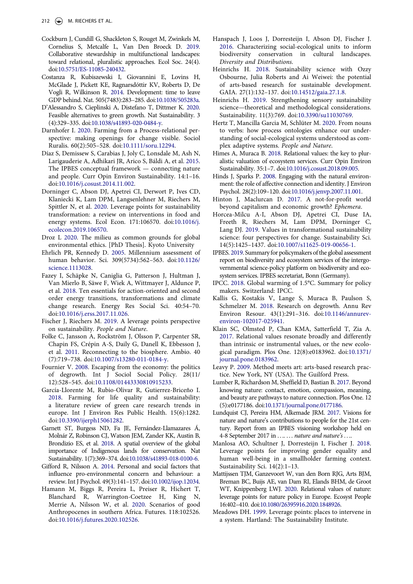- <span id="page-8-18"></span>Cockburn J, Cundill G, Shackleton S, Rouget M, Zwinkels M, Cornelius S, Metcalfe L, Van Den Broeck D. 2019. Collaborative stewardship in multifunctional landscapes: toward relational, pluralistic approaches. Ecol Soc. 24(4). doi:[10.5751/ES-11085-240432.](https://doi.org/10.5751/ES-11085-240432)
- <span id="page-8-23"></span>Costanza R, Kubiszewski I, Giovannini E, Lovins H, McGlade J, Pickett KE, Ragnarsdóttir KV, Roberts D, De Vogli R, Wilkinson R. 2014. Development: time to leave GDP behind. Nat. 505(7483):283–285. doi:[10.1038/505283a](https://doi.org/10.1038/505283a).
- <span id="page-8-25"></span>D'Alessandro S, Cieplinski A, Distefano T, Dittmer K. 2020. Feasible alternatives to green growth. Nat Sustainability. 3 (4):329–335. doi:[10.1038/s41893-020-0484-y](https://doi.org/10.1038/s41893-020-0484-y).
- <span id="page-8-10"></span>Darnhofer I. 2020. Farming from a Process-relational perspective: making openings for change visible. Sociol Ruralis. 60(2):505–528. doi:[10.1111/soru.12294](https://doi.org/10.1111/soru.12294).
- <span id="page-8-6"></span>Díaz S, Demissew S, Carabias J, Joly C, Lonsdale M, Ash N, Larigauderie A, Adhikari JR, Arico S, Báldi A, et al. 2015. The IPBES conceptual framework — connecting nature and people. Curr Opin Environ Sustainability. 14:1–16. doi:[10.1016/j.cosust.2014.11.002](https://doi.org/10.1016/j.cosust.2014.11.002).
- <span id="page-8-1"></span>Dorninger C, Abson DJ, Apetrei CI, Derwort P, Ives CD, Klaniecki K, Lam DPM, Langsenlehner M, Riechers M, Spittler N, et al. 2020. Leverage points for sustainability transformation: a review on interventions in food and energy systems. Ecol Econ. 171:106570. doi:[10.1016/j.](https://doi.org/10.1016/j.ecolecon.2019.106570)  [ecolecon.2019.106570](https://doi.org/10.1016/j.ecolecon.2019.106570).
- <span id="page-8-11"></span>Droz L 2020. The milieu as common grounds for global environmental ethics. [PhD Thesis]. Kyoto University
- <span id="page-8-27"></span>Ehrlich PR, Kennedy D. 2005. Millennium assessment of human behavior. Sci. 309(5734):562–563. doi:[10.1126/](https://doi.org/10.1126/science.1113028)  [science.1113028](https://doi.org/10.1126/science.1113028).
- <span id="page-8-30"></span>Fazey I, Schäpke N, Caniglia G, Patterson J, Hultman J, Van Mierlo B, Säwe F, Wiek A, Wittmayer J, Aldunce P, et al. 2018. Ten essentials for action-oriented and second order energy transitions, transformations and climate change research. Energy Res Social Sci. 40:54–70. doi:[10.1016/j.erss.2017.11.026.](https://doi.org/10.1016/j.erss.2017.11.026)
- <span id="page-8-2"></span>Fischer J, Riechers M. 2019. A leverage points perspective on sustainability. *People and Nature*.
- <span id="page-8-3"></span>Folke C, Jansson A, Rockström J, Olsson P, Carpenter SR, Chapin FS, Crépin A-S, Daily G, Danell K, Ebbesson J, et al. 2011. Reconnecting to the biosphere. Ambio. 40 (7):719–738. doi:[10.1007/s13280-011-0184-y.](https://doi.org/10.1007/s13280-011-0184-y)
- <span id="page-8-26"></span>Fournier V. 2008. Escaping from the economy: the politics of degrowth. Int J Sociol Social Policy. 28(11/ 12):528–545. doi:[10.1108/01443330810915233.](https://doi.org/10.1108/01443330810915233)
- <span id="page-8-8"></span>García-Llorente M, Rubio-Olivar R, Gutierrez-Briceño I. 2018. Farming for life quality and sustainability: a literature review of green care research trends in europe. Int J Environ Res Public Health. 15(6):1282. doi:[10.3390/ijerph15061282](https://doi.org/10.3390/ijerph15061282).
- <span id="page-8-19"></span>Garnett ST, Burgess ND, Fa JE, Fernández-Llamazares Á, Molnár Z, Robinson CJ, Watson JEM, Zander KK, Austin B, Brondizio ES, et al. 2018. A spatial overview of the global importance of Indigenous lands for conservation. Nat Sustainability. 1(7):369–374. doi:[10.1038/s41893-018-0100-6.](https://doi.org/10.1038/s41893-018-0100-6)
- <span id="page-8-13"></span>Gifford R, Nilsson A. 2014. Personal and social factors that influence pro-environmental concern and behaviour: a review. Int J Psychol. 49(3):141–157. doi:[10.1002/ijop.12034](https://doi.org/10.1002/ijop.12034).
- <span id="page-8-29"></span>Hamann M, Biggs R, Pereira L, Preiser R, Hichert T, Blanchard R, Warrington-Coetzee H, King N, Merrie A, Nilsson W, et al. 2020. Scenarios of good Anthropocenes in southern Africa. Futures. 118:102526. doi:[10.1016/j.futures.2020.102526.](https://doi.org/10.1016/j.futures.2020.102526)
- <span id="page-8-14"></span>Hanspach J, Loos J, Dorresteijn I, Abson DJ, Fischer J. 2016. Characterizing social-ecological units to inform biodiversity conservation in cultural landscapes. *Diversity and Distributions*.
- <span id="page-8-32"></span>Heinrichs H. 2018. Sustainability science with Ozzy Osbourne, Julia Roberts and Ai Weiwei: the potential of arts-based research for sustainable development. GAIA. 27(1):132–137. doi:[10.14512/gaia.27.1.8](https://doi.org/10.14512/gaia.27.1.8).
- <span id="page-8-33"></span>Heinrichs H. 2019. Strengthening sensory sustainability science—theoretical and methodological considerations. Sustainability. 11(3):769. doi:[10.3390/su11030769](https://doi.org/10.3390/su11030769).
- <span id="page-8-9"></span>Hertz T, Mancilla Garcia M, Schlüter M. 2020. From nouns to verbs: how process ontologies enhance our understanding of social-ecological systems understood as complex adaptive systems. *People and Nature*.
- <span id="page-8-7"></span>Himes A, Muraca B. 2018. Relational values: the key to pluralistic valuation of ecosystem services. Curr Opin Environ Sustainability. 35:1–7. doi:[10.1016/j.cosust.2018.09.005.](https://doi.org/10.1016/j.cosust.2018.09.005)
- <span id="page-8-12"></span>Hinds J, Sparks P. 2008. Engaging with the natural environment: the role of affective connection and identity. J Environ Psychol. 28(2):109–120. doi:[10.1016/j.jenvp.2007.11.001.](https://doi.org/10.1016/j.jenvp.2007.11.001)
- <span id="page-8-24"></span>Hinton J, Maclurcan D. 2017. A not-for-profit world beyond capitalism and economic growth? *Ephemera*.
- <span id="page-8-5"></span>Horcea-Milcu A-I, Abson DJ, Apetrei CI, Duse IA, Freeth R, Riechers M, Lam DPM, Dorninger C, Lang DJ. 2019. Values in transformational sustainability science: four perspectives for change. Sustainability Sci. 14(5):1425–1437. doi:[10.1007/s11625-019-00656-1.](https://doi.org/10.1007/s11625-019-00656-1)
- <span id="page-8-22"></span>IPBES. 2019. Summary for policymakers of the global assessment report on biodiversity and ecosystem services of the intergovernmental science-policy platform on biodiversity and ecosystem services. IPBES secretariat, Bonn (Germany).
- <span id="page-8-21"></span>IPCC. 2018. Global warming of 1.5°C. Summary for policy makers. Switzerland: IPCC.
- <span id="page-8-20"></span>Kallis G, Kostakis V, Lange S, Muraca B, Paulson S, Schmelzer M. 2018. Research on degrowth. Annu Rev Environ Resour. 43(1):291–316. doi:[10.1146/annurev](https://doi.org/10.1146/annurev-environ-102017-025941)[environ-102017-025941.](https://doi.org/10.1146/annurev-environ-102017-025941)
- <span id="page-8-16"></span>Klain SC, Olmsted P, Chan KMA, Satterfield T, Zia A. 2017. Relational values resonate broadly and differently than intrinsic or instrumental values, or the new ecological paradigm. Plos One. 12(8):e0183962. doi:[10.1371/](https://doi.org/10.1371/journal.pone.0183962) [journal.pone.0183962.](https://doi.org/10.1371/journal.pone.0183962)
- <span id="page-8-31"></span>Leavy P. 2009. Method meets art: arts-based research practice. New York, NY (USA). The Guilford Press.
- <span id="page-8-17"></span>Lumber R, Richardson M, Sheffield D, Bastian B. 2017. Beyond knowing nature: contact, emotion, compassion, meaning, and beauty are pathways to nature connection. Plos One. 12 (5):e0177186. doi:[10.1371/journal.pone.0177186](https://doi.org/10.1371/journal.pone.0177186).
- <span id="page-8-28"></span>Lundquist CJ, Pereira HM, Alkemade JRM. 2017. Visions for nature and nature's contributions to people for the 21st century. Report from an IPBES visioning workshop held on 4-8 September 2017 in . . .. . . . *nature and nature's . . .*.
- <span id="page-8-4"></span>Manlosa AO, Schultner J, Dorresteijn I, Fischer J. 2018. Leverage points for improving gender equality and human well-being in a smallholder farming context. Sustainability Sci. 14(2):1–13.
- <span id="page-8-15"></span>Mattijssen TJM, Ganzevoort W, van den Born RJG, Arts BJM, Breman BC, Buijs AE, van Dam RI, Elands BHM, de Groot WT, Knippenberg LWJ. 2020. Relational values of nature: leverage points for nature policy in Europe. Ecosyst People 16:402–410. doi:[10.1080/26395916.2020.1848926](https://doi.org/10.1080/26395916.2020.1848926).
- <span id="page-8-0"></span>Meadows DH. 1999. Leverage points: places to intervene in a system. Hartland: The Sustainability Institute.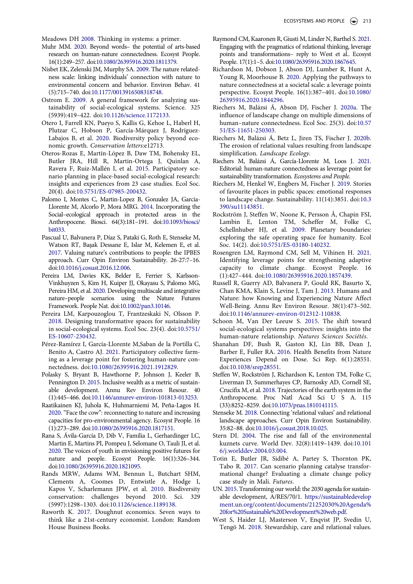<span id="page-9-4"></span>Meadows DH 2008. Thinking in systems: a primer.

- <span id="page-9-31"></span>Muhr MM. 2020. Beyond words– the potential of arts-based research on human-nature connectedness. Ecosyst People. 16(1):249–257. doi:[10.1080/26395916.2020.1811379](https://doi.org/10.1080/26395916.2020.1811379).
- <span id="page-9-7"></span>Nisbet EK, Zelenski JM, Murphy SA. 2009. The nature relatedness scale: linking individuals' connection with nature to environmental concern and behavior. Environ Behav. 41 (5):715–740. doi:[10.1177/0013916508318748.](https://doi.org/10.1177/0013916508318748)
- <span id="page-9-14"></span>Ostrom E. 2009. A general framework for analyzing sustainability of social-ecological systems. Science. 325 (5939):419–422. doi:[10.1126/science.1172133](https://doi.org/10.1126/science.1172133).
- <span id="page-9-24"></span>Otero I, Farrell KN, Pueyo S, Kallis G, Kehoe L, Haberl H, Plutzar C, Hobson P, García-Márquez J, Rodríguez-Labajos B, et al. 2020. Biodiversity policy beyond economic growth. *Conservation letters*:e12713.
- <span id="page-9-30"></span>Oteros-Rozas E, Martín-López B, Daw TM, Bohensky EL, Butler JRA, Hill R, Martin-Ortega J, Quinlan A, Ravera F, Ruiz-Mallén I, et al. 2015. Participatory scenario planning in place-based social-ecological research: insights and experiences from 23 case studies. Ecol Soc. 20(4). doi:[10.5751/ES-07985-200432.](https://doi.org/10.5751/ES-07985-200432)
- <span id="page-9-16"></span>Palomo I, Montes C, Martin-Lopez B, Gonzalez JA, Garcia-Llorente M, Alcorlo P, Mora MRG. 2014. Incorporating the Social–ecological approach in protected areas in the Anthropocene. Biosci. 64(3):181–191. doi:[10.1093/biosci/](https://doi.org/10.1093/biosci/bit033) [bit033](https://doi.org/10.1093/biosci/bit033).
- <span id="page-9-10"></span>Pascual U, Balvanera P, Díaz S, Pataki G, Roth E, Stenseke M, Watson RT, Başak Dessane E, Islar M, Kelemen E, et al. 2017. Valuing nature's contributions to people: the IPBES approach. Curr Opin Environ Sustainability. 26-27:7–16. doi:[10.1016/j.cosust.2016.12.006](https://doi.org/10.1016/j.cosust.2016.12.006).
- <span id="page-9-28"></span>Pereira LM, Davies KK, Belder E, Ferrier S, Karlsson-Vinkhuyzen S, Kim H, Kuiper JJ, Okayasu S, Palomo MG, Pereira HM, et al. 2020. Developing multiscale and integrative nature–people scenarios using the Nature Futures Framework. People Nat. doi:[10.1002/pan3.10146.](https://doi.org/10.1002/pan3.10146)
- <span id="page-9-27"></span>Pereira LM, Karpouzoglou T, Frantzeskaki N, Olsson P. 2018. Designing transformative spaces for sustainability in social-ecological systems. Ecol Soc. 23(4). doi:[10.5751/](https://doi.org/10.5751/ES-10607-230432)  [ES-10607-230432.](https://doi.org/10.5751/ES-10607-230432)
- <span id="page-9-25"></span>Pérez-Ramírez I, García-Llorente M,Saban de la Portilla C, Benito A, Castro AJ. 2021. Participatory collective farming as a leverage point for fostering human-nature connectedness. doi:[10.1080/26395916.2021.1912829.](https://doi.org/10.1080/26395916.2021.1912829)
- <span id="page-9-22"></span>Polasky S, Bryant B, Hawthorne P, Johnson J, Keeler B, Pennington D. 2015. Inclusive wealth as a metric of sustainable development. Annu Rev Environ Resour. 40 (1):445–466. doi:[10.1146/annurev-environ-101813-013253.](https://doi.org/10.1146/annurev-environ-101813-013253)
- <span id="page-9-19"></span>Raatikainen KJ, Juhola K, Huhmarniemi M, Peña-Lagos H. 2020. "Face the cow": reconnecting to nature and increasing capacities for pro-environmental agency. Ecosyst People. 16 (1):273–289. doi:[10.1080/26395916.2020.1817151.](https://doi.org/10.1080/26395916.2020.1817151)
- <span id="page-9-20"></span>Rana S, Ávila-García D, Dib V, Familia L, Gerhardinger LC, Martin E, Martins PI, Pompeu J, Selomane O, Tauli JI, et al. 2020. The voices of youth in envisioning positive futures for nature and people. Ecosyst People. 16(1):326–344. doi:[10.1080/26395916.2020.1821095.](https://doi.org/10.1080/26395916.2020.1821095)
- <span id="page-9-3"></span>Rands MRW, Adams WM, Bennun L, Butchart SHM, Clements A, Coomes D, Entwistle A, Hodge I, Kapos V, Scharlemann JPW, et al. 2010. Biodiversity conservation: challenges beyond 2010. Sci. 329 (5997):1298–1303. doi:[10.1126/science.1189138](https://doi.org/10.1126/science.1189138).
- <span id="page-9-23"></span>Raworth K. 2017. Doughnut economics. Seven ways to think like a 21st-century economist. London: Random House Business Books.
- <span id="page-9-17"></span>Raymond CM, Kaaronen R, Giusti M, Linder N, Barthel S. 2021. Engaging with the pragmatics of relational thinking, leverage points and transformations– reply to West et al.. Ecosyst People. 17(1):1–5. doi:[10.1080/26395916.2020.1867645.](https://doi.org/10.1080/26395916.2020.1867645)
- <span id="page-9-18"></span>Richardson M, Dobson J, Abson DJ, Lumber R, Hunt A, Young R, Moorhouse B. 2020. Applying the pathways to nature connectedness at a societal scale: a leverage points perspective. Ecosyst People. 16(1):387–401. doi:[10.1080/](https://doi.org/10.1080/26395916.2020.1844296) [26395916.2020.1844296.](https://doi.org/10.1080/26395916.2020.1844296)
- <span id="page-9-9"></span>Riechers M, Balázsi Á, Abson DJ, Fischer J. 2020a. The influence of landscape change on multiple dimensions of human–nature connectedness. Ecol Soc. 25(3). doi:[10.57](https://doi.org/10.5751/ES-11651-250303) [51/ES-11651-250303.](https://doi.org/10.5751/ES-11651-250303)
- <span id="page-9-11"></span>Riechers M, Balázsi Á, Betz L, Jiren TS, Fischer J. 2020b. The erosion of relational values resulting from landscape simplification. *Landscape Ecology*.
- <span id="page-9-5"></span>Riechers M, Balázsi Á, García-Llorente M, Loos J. 2021. Editorial: human-nature connectedness as leverage point for sustainability transformation. *Ecosystems and People*.
- <span id="page-9-32"></span>Riechers M, Henkel W, Engbers M, Fischer J. 2019. Stories of favourite places in public spaces: emotional responses to landscape change. Sustainability. 11(14):3851. doi:[10.3](https://doi.org/10.3390/su11143851) [390/su11143851](https://doi.org/10.3390/su11143851).
- <span id="page-9-0"></span>Rockström J, Steffen W, Noone K, Persson Å, Chapin FSI, Lambin E, Lenton TM, Scheffer M, Folke C, Schellnhuber HJ, et al. 2009. Planetary boundaries: exploring the safe operating space for humanity. Ecol Soc. 14(2). doi:[10.5751/ES-03180-140232.](https://doi.org/10.5751/ES-03180-140232)
- <span id="page-9-26"></span>Rosengren LM, Raymond CM, Sell M, Vihinen H. 2021. Identifying leverage points for strengthening adaptive capacity to climate change. Ecosyst People. 16 (1):427–444. doi:[10.1080/26395916.2020.1857439.](https://doi.org/10.1080/26395916.2020.1857439)
- <span id="page-9-6"></span>Russell R, Guerry AD, Balvanera P, Gould RK, Basurto X, Chan KMA, Klain S, Levine J, Tam J. 2013. Humans and Nature: how Knowing and Experiencing Nature Affect Well-Being. Annu Rev Environ Resour. 38(1):473–502. doi:[10.1146/annurev-environ-012312-110838](https://doi.org/10.1146/annurev-environ-012312-110838).
- <span id="page-9-15"></span>Schoon M, Van Der Leeuw S. 2015. The shift toward social-ecological systems perspectives: insights into the human-nature relationship. *Natures Sciences Sociétés*.
- <span id="page-9-8"></span>Shanahan DF, Bush R, Gaston KJ, Lin BB, Dean J, Barber E, Fuller RA. 2016. Health Benefits from Nature Experiences Depend on Dose. Sci Rep. 6(1):28551. doi:[10.1038/srep28551.](https://doi.org/10.1038/srep28551)
- <span id="page-9-2"></span>Steffen W, Rockström J, Richardson K, Lenton TM, Folke C, Liverman D, Summerhayes CP, Barnosky AD, Cornell SE, Crucifix M, et al. 2018. Trajectories of the earth system in the Anthropocene. Proc Natl Acad Sci U S A. 115 (33):8252–8259. doi:[10.1073/pnas.1810141115.](https://doi.org/10.1073/pnas.1810141115)
- <span id="page-9-12"></span>Stenseke M. 2018. Connecting 'relational values' and relational landscape approaches. Curr Opin Environ Sustainability. 35:82–88. doi:[10.1016/j.cosust.2018.10.025](https://doi.org/10.1016/j.cosust.2018.10.025).
- <span id="page-9-21"></span>Stern DI. 2004. The rise and fall of the environmental kuznets curve. World Dev. 32(8):1419–1439. doi:[10.101](https://doi.org/10.1016/j.worlddev.2004.03.004) [6/j.worlddev.2004.03.004](https://doi.org/10.1016/j.worlddev.2004.03.004).
- <span id="page-9-29"></span>Totin E, Butler JR, Sidibé A, Partey S, Thornton PK, Tabo R. 2017. Can scenario planning catalyse transformational change? Evaluating a climate change policy case study in Mali. *Futures*.
- <span id="page-9-1"></span>UN. 2015. Transforming our world: the 2030 agenda for sustainable development, A/RES/70/1. [https://sustainabledevelop](https://sustainabledevelopment.un.org/content/documents/21252030%20Agenda%20for%20Sustainable%20Development%20web.pdf) [ment.un.org/content/documents/21252030%20Agenda%](https://sustainabledevelopment.un.org/content/documents/21252030%20Agenda%20for%20Sustainable%20Development%20web.pdf) [20for%20Sustainable%20Development%20web.pdf.](https://sustainabledevelopment.un.org/content/documents/21252030%20Agenda%20for%20Sustainable%20Development%20web.pdf)
- <span id="page-9-13"></span>West S, Haider LJ, Masterson V, Enqvist JP, Svedin U, Tengö M. 2018. Stewardship, care and relational values.